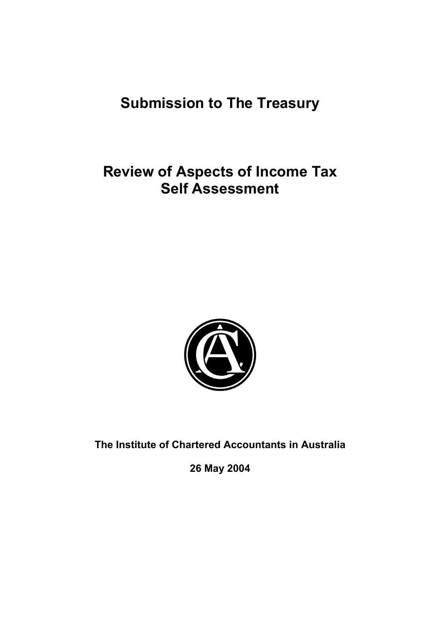# **Submission to The Treasury**

# **Review of Aspects of Income Tax Self Assessment**



**The Institute of Chartered Accountants in Australia** 

**26 May 2004**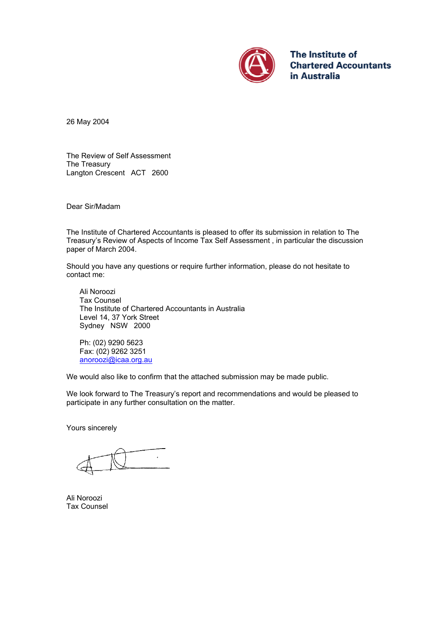

The Institute of **Chartered Accountants** in Australia

26 May 2004

The Review of Self Assessment The Treasury Langton Crescent ACT 2600

Dear Sir/Madam

The Institute of Chartered Accountants is pleased to offer its submission in relation to The Treasury's Review of Aspects of Income Tax Self Assessment , in particular the discussion paper of March 2004.

Should you have any questions or require further information, please do not hesitate to contact me:

 Ali Noroozi Tax Counsel The Institute of Chartered Accountants in Australia Level 14, 37 York Street Sydney NSW 2000

Ph: (02) 9290 5623 Fax: (02) 9262 3251 [anoroozi@icaa.org.au](mailto:anoroozi@icaa.org.au) 

We would also like to confirm that the attached submission may be made public.

We look forward to The Treasury's report and recommendations and would be pleased to participate in any further consultation on the matter.

Yours sincerely

Ali Noroozi Tax Counsel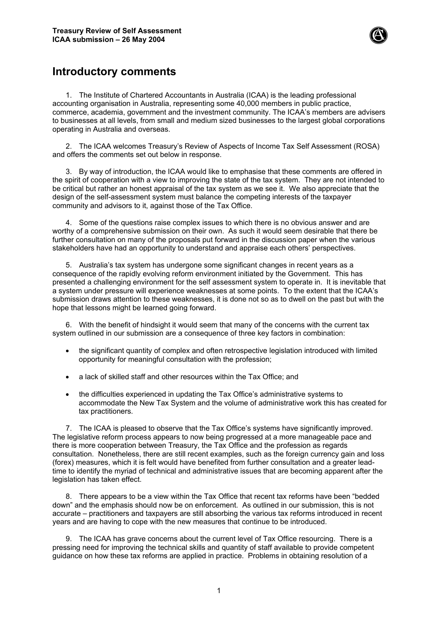

## **Introductory comments**

1. The Institute of Chartered Accountants in Australia (ICAA) is the leading professional accounting organisation in Australia, representing some 40,000 members in public practice, commerce, academia, government and the investment community. The ICAA's members are advisers to businesses at all levels, from small and medium sized businesses to the largest global corporations operating in Australia and overseas.

2. The ICAA welcomes Treasury's Review of Aspects of Income Tax Self Assessment (ROSA) and offers the comments set out below in response.

3. By way of introduction, the ICAA would like to emphasise that these comments are offered in the spirit of cooperation with a view to improving the state of the tax system. They are not intended to be critical but rather an honest appraisal of the tax system as we see it. We also appreciate that the design of the self-assessment system must balance the competing interests of the taxpayer community and advisors to it, against those of the Tax Office.

4. Some of the questions raise complex issues to which there is no obvious answer and are worthy of a comprehensive submission on their own. As such it would seem desirable that there be further consultation on many of the proposals put forward in the discussion paper when the various stakeholders have had an opportunity to understand and appraise each others' perspectives.

5. Australia's tax system has undergone some significant changes in recent years as a consequence of the rapidly evolving reform environment initiated by the Government. This has presented a challenging environment for the self assessment system to operate in. It is inevitable that a system under pressure will experience weaknesses at some points. To the extent that the ICAA's submission draws attention to these weaknesses, it is done not so as to dwell on the past but with the hope that lessons might be learned going forward.

6. With the benefit of hindsight it would seem that many of the concerns with the current tax system outlined in our submission are a consequence of three key factors in combination:

- the significant quantity of complex and often retrospective legislation introduced with limited opportunity for meaningful consultation with the profession;
- a lack of skilled staff and other resources within the Tax Office; and
- the difficulties experienced in updating the Tax Office's administrative systems to accommodate the New Tax System and the volume of administrative work this has created for tax practitioners.

7. The ICAA is pleased to observe that the Tax Office's systems have significantly improved. The legislative reform process appears to now being progressed at a more manageable pace and there is more cooperation between Treasury, the Tax Office and the profession as regards consultation. Nonetheless, there are still recent examples, such as the foreign currency gain and loss (forex) measures, which it is felt would have benefited from further consultation and a greater leadtime to identify the myriad of technical and administrative issues that are becoming apparent after the legislation has taken effect.

8. There appears to be a view within the Tax Office that recent tax reforms have been "bedded down" and the emphasis should now be on enforcement. As outlined in our submission, this is not accurate – practitioners and taxpayers are still absorbing the various tax reforms introduced in recent years and are having to cope with the new measures that continue to be introduced.

9. The ICAA has grave concerns about the current level of Tax Office resourcing. There is a pressing need for improving the technical skills and quantity of staff available to provide competent guidance on how these tax reforms are applied in practice. Problems in obtaining resolution of a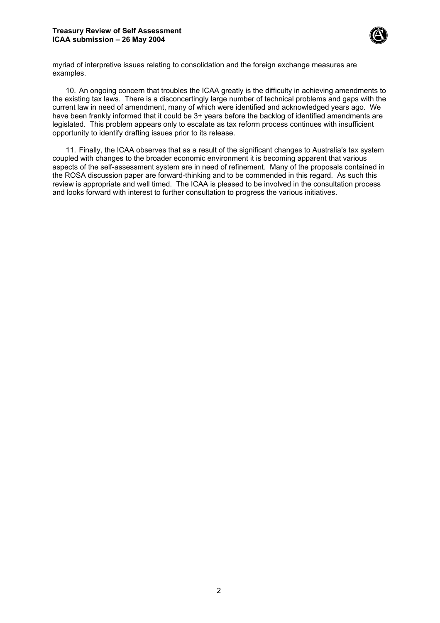#### **Treasury Review of Self Assessment ICAA submission – 26 May 2004**



myriad of interpretive issues relating to consolidation and the foreign exchange measures are examples.

10. An ongoing concern that troubles the ICAA greatly is the difficulty in achieving amendments to the existing tax laws. There is a disconcertingly large number of technical problems and gaps with the current law in need of amendment, many of which were identified and acknowledged years ago. We have been frankly informed that it could be 3+ years before the backlog of identified amendments are legislated. This problem appears only to escalate as tax reform process continues with insufficient opportunity to identify drafting issues prior to its release.

11. Finally, the ICAA observes that as a result of the significant changes to Australia's tax system coupled with changes to the broader economic environment it is becoming apparent that various aspects of the self-assessment system are in need of refinement. Many of the proposals contained in the ROSA discussion paper are forward-thinking and to be commended in this regard. As such this review is appropriate and well timed. The ICAA is pleased to be involved in the consultation process and looks forward with interest to further consultation to progress the various initiatives.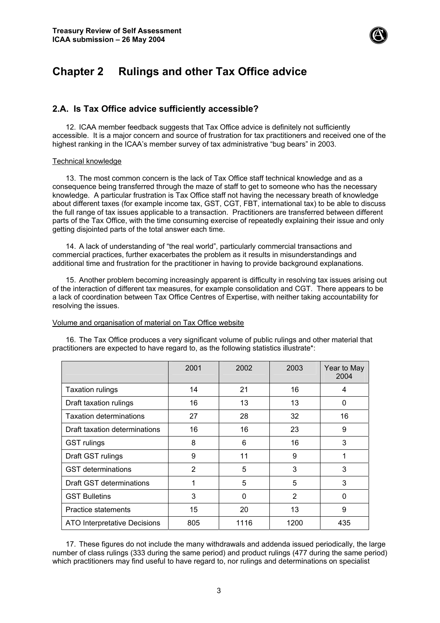

## **Chapter 2 Rulings and other Tax Office advice**

## **2.A. Is Tax Office advice sufficiently accessible?**

12. ICAA member feedback suggests that Tax Office advice is definitely not sufficiently accessible. It is a major concern and source of frustration for tax practitioners and received one of the highest ranking in the ICAA's member survey of tax administrative "bug bears" in 2003.

#### Technical knowledge

13. The most common concern is the lack of Tax Office staff technical knowledge and as a consequence being transferred through the maze of staff to get to someone who has the necessary knowledge. A particular frustration is Tax Office staff not having the necessary breath of knowledge about different taxes (for example income tax, GST, CGT, FBT, international tax) to be able to discuss the full range of tax issues applicable to a transaction. Practitioners are transferred between different parts of the Tax Office, with the time consuming exercise of repeatedly explaining their issue and only getting disjointed parts of the total answer each time.

14. A lack of understanding of "the real world", particularly commercial transactions and commercial practices, further exacerbates the problem as it results in misunderstandings and additional time and frustration for the practitioner in having to provide background explanations.

15. Another problem becoming increasingly apparent is difficulty in resolving tax issues arising out of the interaction of different tax measures, for example consolidation and CGT. There appears to be a lack of coordination between Tax Office Centres of Expertise, with neither taking accountability for resolving the issues.

#### Volume and organisation of material on Tax Office website

16. The Tax Office produces a very significant volume of public rulings and other material that practitioners are expected to have regard to, as the following statistics illustrate\*:

|                                | 2001           | 2002 | 2003           | Year to May<br>2004 |
|--------------------------------|----------------|------|----------------|---------------------|
| <b>Taxation rulings</b>        | 14             | 21   | 16             | 4                   |
| Draft taxation rulings         | 16             | 13   | 13             | 0                   |
| <b>Taxation determinations</b> | 27             | 28   | 32             | 16                  |
| Draft taxation determinations  | 16             | 16   | 23             | 9                   |
| <b>GST</b> rulings             | 8              | 6    | 16             | 3                   |
| Draft GST rulings              | 9              | 11   | 9              | 1                   |
| <b>GST</b> determinations      | $\overline{2}$ | 5    | 3              | 3                   |
| Draft GST determinations       | 1              | 5    | 5              | 3                   |
| <b>GST Bulletins</b>           | 3              | 0    | $\overline{2}$ | 0                   |
| Practice statements            | 15             | 20   | 13             | 9                   |
| ATO Interpretative Decisions   | 805            | 1116 | 1200           | 435                 |

17. These figures do not include the many withdrawals and addenda issued periodically, the large number of class rulings (333 during the same period) and product rulings (477 during the same period) which practitioners may find useful to have regard to, nor rulings and determinations on specialist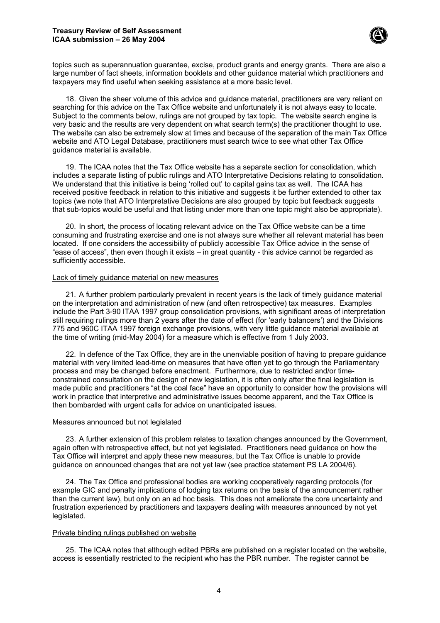

topics such as superannuation guarantee, excise, product grants and energy grants. There are also a large number of fact sheets, information booklets and other guidance material which practitioners and taxpayers may find useful when seeking assistance at a more basic level.

18. Given the sheer volume of this advice and guidance material, practitioners are very reliant on searching for this advice on the Tax Office website and unfortunately it is not always easy to locate. Subject to the comments below, rulings are not grouped by tax topic. The website search engine is very basic and the results are very dependent on what search term(s) the practitioner thought to use. The website can also be extremely slow at times and because of the separation of the main Tax Office website and ATO Legal Database, practitioners must search twice to see what other Tax Office guidance material is available.

19. The ICAA notes that the Tax Office website has a separate section for consolidation, which includes a separate listing of public rulings and ATO Interpretative Decisions relating to consolidation. We understand that this initiative is being 'rolled out' to capital gains tax as well. The ICAA has received positive feedback in relation to this initiative and suggests it be further extended to other tax topics (we note that ATO Interpretative Decisions are also grouped by topic but feedback suggests that sub-topics would be useful and that listing under more than one topic might also be appropriate).

20. In short, the process of locating relevant advice on the Tax Office website can be a time consuming and frustrating exercise and one is not always sure whether all relevant material has been located. If one considers the accessibility of publicly accessible Tax Office advice in the sense of "ease of access", then even though it exists – in great quantity - this advice cannot be regarded as sufficiently accessible.

#### Lack of timely guidance material on new measures

21. A further problem particularly prevalent in recent years is the lack of timely guidance material on the interpretation and administration of new (and often retrospective) tax measures. Examples include the Part 3-90 ITAA 1997 group consolidation provisions, with significant areas of interpretation still requiring rulings more than 2 years after the date of effect (for 'early balancers') and the Divisions 775 and 960C ITAA 1997 foreign exchange provisions, with very little guidance material available at the time of writing (mid-May 2004) for a measure which is effective from 1 July 2003.

22. In defence of the Tax Office, they are in the unenviable position of having to prepare guidance material with very limited lead-time on measures that have often yet to go through the Parliamentary process and may be changed before enactment. Furthermore, due to restricted and/or timeconstrained consultation on the design of new legislation, it is often only after the final legislation is made public and practitioners "at the coal face" have an opportunity to consider how the provisions will work in practice that interpretive and administrative issues become apparent, and the Tax Office is then bombarded with urgent calls for advice on unanticipated issues.

#### Measures announced but not legislated

23. A further extension of this problem relates to taxation changes announced by the Government, again often with retrospective effect, but not yet legislated. Practitioners need guidance on how the Tax Office will interpret and apply these new measures, but the Tax Office is unable to provide guidance on announced changes that are not yet law (see practice statement PS LA 2004/6).

24. The Tax Office and professional bodies are working cooperatively regarding protocols (for example GIC and penalty implications of lodging tax returns on the basis of the announcement rather than the current law), but only on an ad hoc basis. This does not ameliorate the core uncertainty and frustration experienced by practitioners and taxpayers dealing with measures announced by not yet legislated.

#### Private binding rulings published on website

25. The ICAA notes that although edited PBRs are published on a register located on the website, access is essentially restricted to the recipient who has the PBR number. The register cannot be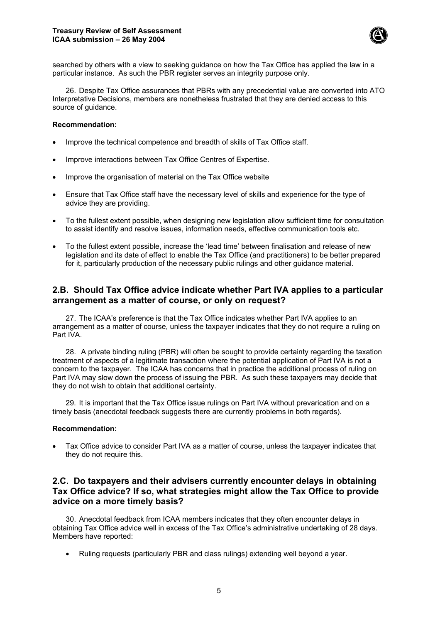

searched by others with a view to seeking guidance on how the Tax Office has applied the law in a particular instance. As such the PBR register serves an integrity purpose only.

26. Despite Tax Office assurances that PBRs with any precedential value are converted into ATO Interpretative Decisions, members are nonetheless frustrated that they are denied access to this source of quidance.

#### **Recommendation:**

- Improve the technical competence and breadth of skills of Tax Office staff.
- Improve interactions between Tax Office Centres of Expertise.
- Improve the organisation of material on the Tax Office website
- Ensure that Tax Office staff have the necessary level of skills and experience for the type of advice they are providing.
- To the fullest extent possible, when designing new legislation allow sufficient time for consultation to assist identify and resolve issues, information needs, effective communication tools etc.
- To the fullest extent possible, increase the 'lead time' between finalisation and release of new legislation and its date of effect to enable the Tax Office (and practitioners) to be better prepared for it, particularly production of the necessary public rulings and other guidance material.

## **2.B. Should Tax Office advice indicate whether Part IVA applies to a particular arrangement as a matter of course, or only on request?**

27. The ICAA's preference is that the Tax Office indicates whether Part IVA applies to an arrangement as a matter of course, unless the taxpayer indicates that they do not require a ruling on Part IVA.

28. A private binding ruling (PBR) will often be sought to provide certainty regarding the taxation treatment of aspects of a legitimate transaction where the potential application of Part IVA is not a concern to the taxpayer. The ICAA has concerns that in practice the additional process of ruling on Part IVA may slow down the process of issuing the PBR. As such these taxpayers may decide that they do not wish to obtain that additional certainty.

29. It is important that the Tax Office issue rulings on Part IVA without prevarication and on a timely basis (anecdotal feedback suggests there are currently problems in both regards).

#### **Recommendation:**

• Tax Office advice to consider Part IVA as a matter of course, unless the taxpayer indicates that they do not require this.

## **2.C. Do taxpayers and their advisers currently encounter delays in obtaining Tax Office advice? If so, what strategies might allow the Tax Office to provide advice on a more timely basis?**

30. Anecdotal feedback from ICAA members indicates that they often encounter delays in obtaining Tax Office advice well in excess of the Tax Office's administrative undertaking of 28 days. Members have reported:

• Ruling requests (particularly PBR and class rulings) extending well beyond a year.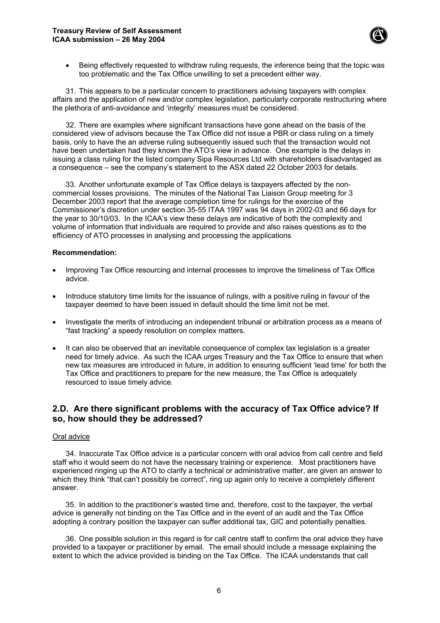

• Being effectively requested to withdraw ruling requests, the inference being that the topic was too problematic and the Tax Office unwilling to set a precedent either way.

31. This appears to be a particular concern to practitioners advising taxpayers with complex affairs and the application of new and/or complex legislation, particularly corporate restructuring where the plethora of anti-avoidance and 'integrity' measures must be considered.

32. There are examples where significant transactions have gone ahead on the basis of the considered view of advisors because the Tax Office did not issue a PBR or class ruling on a timely basis, only to have the an adverse ruling subsequently issued such that the transaction would not have been undertaken had they known the ATO's view in advance. One example is the delays in issuing a class ruling for the listed company Sipa Resources Ltd with shareholders disadvantaged as a consequence – see the company's statement to the ASX dated 22 October 2003 for details.

33. Another unfortunate example of Tax Office delays is taxpayers affected by the noncommercial losses provisions. The minutes of the National Tax Liaison Group meeting for 3 December 2003 report that the average completion time for rulings for the exercise of the Commissioner's discretion under section 35-55 ITAA 1997 was 94 days in 2002-03 and 66 days for the year to 30/10/03. In the ICAA's view these delays are indicative of both the complexity and volume of information that individuals are required to provide and also raises questions as to the efficiency of ATO processes in analysing and processing the applications

#### **Recommendation:**

- Improving Tax Office resourcing and internal processes to improve the timeliness of Tax Office advice.
- Introduce statutory time limits for the issuance of rulings, with a positive ruling in favour of the taxpayer deemed to have been issued in default should the time limit not be met.
- Investigate the merits of introducing an independent tribunal or arbitration process as a means of "fast tracking" a speedy resolution on complex matters.
- It can also be observed that an inevitable consequence of complex tax legislation is a greater need for timely advice. As such the ICAA urges Treasury and the Tax Office to ensure that when new tax measures are introduced in future, in addition to ensuring sufficient 'lead time' for both the Tax Office and practitioners to prepare for the new measure, the Tax Office is adequately resourced to issue timely advice.

## **2.D. Are there significant problems with the accuracy of Tax Office advice? If so, how should they be addressed?**

#### Oral advice

34. Inaccurate Tax Office advice is a particular concern with oral advice from call centre and field staff who it would seem do not have the necessary training or experience. Most practitioners have experienced ringing up the ATO to clarify a technical or administrative matter, are given an answer to which they think "that can't possibly be correct", ring up again only to receive a completely different answer.

35. In addition to the practitioner's wasted time and, therefore, cost to the taxpayer, the verbal advice is generally not binding on the Tax Office and in the event of an audit and the Tax Office adopting a contrary position the taxpayer can suffer additional tax, GIC and potentially penalties.

36. One possible solution in this regard is for call centre staff to confirm the oral advice they have provided to a taxpayer or practitioner by email. The email should include a message explaining the extent to which the advice provided is binding on the Tax Office. The ICAA understands that call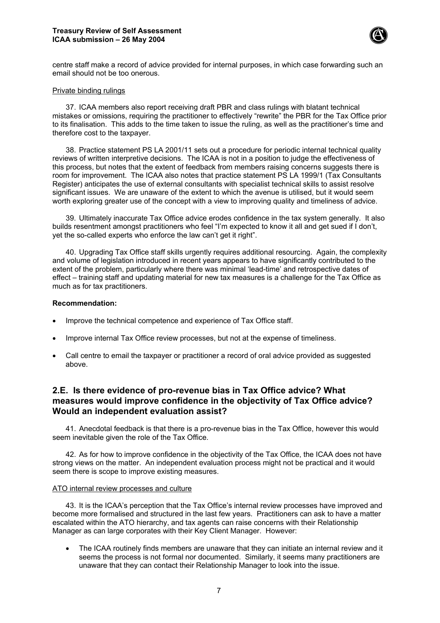

centre staff make a record of advice provided for internal purposes, in which case forwarding such an email should not be too onerous.

#### Private binding rulings

37. ICAA members also report receiving draft PBR and class rulings with blatant technical mistakes or omissions, requiring the practitioner to effectively "rewrite" the PBR for the Tax Office prior to its finalisation. This adds to the time taken to issue the ruling, as well as the practitioner's time and therefore cost to the taxpayer.

38. Practice statement PS LA 2001/11 sets out a procedure for periodic internal technical quality reviews of written interpretive decisions. The ICAA is not in a position to judge the effectiveness of this process, but notes that the extent of feedback from members raising concerns suggests there is room for improvement. The ICAA also notes that practice statement PS LA 1999/1 (Tax Consultants Register) anticipates the use of external consultants with specialist technical skills to assist resolve significant issues. We are unaware of the extent to which the avenue is utilised, but it would seem worth exploring greater use of the concept with a view to improving quality and timeliness of advice.

39. Ultimately inaccurate Tax Office advice erodes confidence in the tax system generally. It also builds resentment amongst practitioners who feel "I'm expected to know it all and get sued if I don't, yet the so-called experts who enforce the law can't get it right".

40. Upgrading Tax Office staff skills urgently requires additional resourcing. Again, the complexity and volume of legislation introduced in recent years appears to have significantly contributed to the extent of the problem, particularly where there was minimal 'lead-time' and retrospective dates of effect – training staff and updating material for new tax measures is a challenge for the Tax Office as much as for tax practitioners.

#### **Recommendation:**

- Improve the technical competence and experience of Tax Office staff.
- Improve internal Tax Office review processes, but not at the expense of timeliness.
- Call centre to email the taxpayer or practitioner a record of oral advice provided as suggested above.

## **2.E. Is there evidence of pro-revenue bias in Tax Office advice? What measures would improve confidence in the objectivity of Tax Office advice? Would an independent evaluation assist?**

41. Anecdotal feedback is that there is a pro-revenue bias in the Tax Office, however this would seem inevitable given the role of the Tax Office.

42. As for how to improve confidence in the objectivity of the Tax Office, the ICAA does not have strong views on the matter. An independent evaluation process might not be practical and it would seem there is scope to improve existing measures.

#### ATO internal review processes and culture

43. It is the ICAA's perception that the Tax Office's internal review processes have improved and become more formalised and structured in the last few years. Practitioners can ask to have a matter escalated within the ATO hierarchy, and tax agents can raise concerns with their Relationship Manager as can large corporates with their Key Client Manager. However:

• The ICAA routinely finds members are unaware that they can initiate an internal review and it seems the process is not formal nor documented. Similarly, it seems many practitioners are unaware that they can contact their Relationship Manager to look into the issue.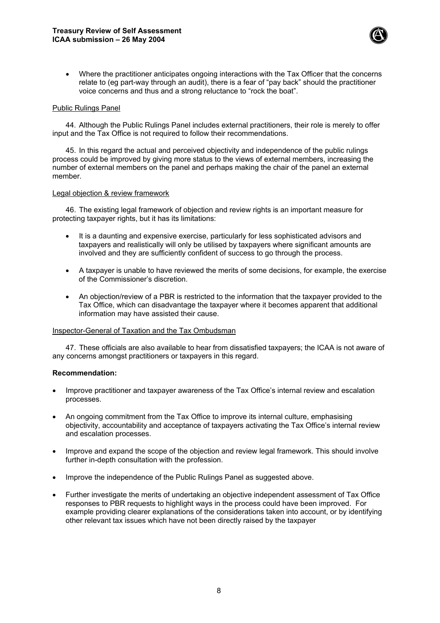

• Where the practitioner anticipates ongoing interactions with the Tax Officer that the concerns relate to (eg part-way through an audit), there is a fear of "pay back" should the practitioner voice concerns and thus and a strong reluctance to "rock the boat".

#### Public Rulings Panel

44. Although the Public Rulings Panel includes external practitioners, their role is merely to offer input and the Tax Office is not required to follow their recommendations.

45. In this regard the actual and perceived objectivity and independence of the public rulings process could be improved by giving more status to the views of external members, increasing the number of external members on the panel and perhaps making the chair of the panel an external member.

#### Legal objection & review framework

46. The existing legal framework of objection and review rights is an important measure for protecting taxpayer rights, but it has its limitations:

- It is a daunting and expensive exercise, particularly for less sophisticated advisors and taxpayers and realistically will only be utilised by taxpayers where significant amounts are involved and they are sufficiently confident of success to go through the process.
- A taxpayer is unable to have reviewed the merits of some decisions, for example, the exercise of the Commissioner's discretion.
- An objection/review of a PBR is restricted to the information that the taxpayer provided to the Tax Office, which can disadvantage the taxpayer where it becomes apparent that additional information may have assisted their cause.

#### Inspector-General of Taxation and the Tax Ombudsman

47. These officials are also available to hear from dissatisfied taxpayers; the ICAA is not aware of any concerns amongst practitioners or taxpayers in this regard.

#### **Recommendation:**

- Improve practitioner and taxpayer awareness of the Tax Office's internal review and escalation processes.
- An ongoing commitment from the Tax Office to improve its internal culture, emphasising objectivity, accountability and acceptance of taxpayers activating the Tax Office's internal review and escalation processes.
- Improve and expand the scope of the objection and review legal framework. This should involve further in-depth consultation with the profession.
- Improve the independence of the Public Rulings Panel as suggested above.
- Further investigate the merits of undertaking an objective independent assessment of Tax Office responses to PBR requests to highlight ways in the process could have been improved. For example providing clearer explanations of the considerations taken into account, or by identifying other relevant tax issues which have not been directly raised by the taxpayer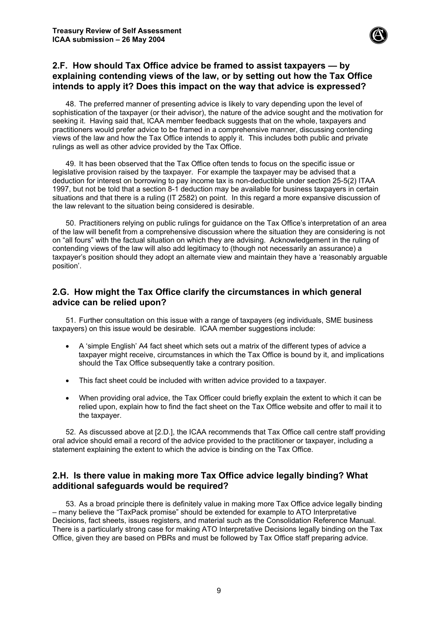

## **2.F. How should Tax Office advice be framed to assist taxpayers — by explaining contending views of the law, or by setting out how the Tax Office intends to apply it? Does this impact on the way that advice is expressed?**

48. The preferred manner of presenting advice is likely to vary depending upon the level of sophistication of the taxpayer (or their advisor), the nature of the advice sought and the motivation for seeking it. Having said that, ICAA member feedback suggests that on the whole, taxpayers and practitioners would prefer advice to be framed in a comprehensive manner, discussing contending views of the law and how the Tax Office intends to apply it. This includes both public and private rulings as well as other advice provided by the Tax Office.

49. It has been observed that the Tax Office often tends to focus on the specific issue or legislative provision raised by the taxpayer. For example the taxpayer may be advised that a deduction for interest on borrowing to pay income tax is non-deductible under section 25-5(2) ITAA 1997, but not be told that a section 8-1 deduction may be available for business taxpayers in certain situations and that there is a ruling (IT 2582) on point. In this regard a more expansive discussion of the law relevant to the situation being considered is desirable.

50. Practitioners relying on public rulings for guidance on the Tax Office's interpretation of an area of the law will benefit from a comprehensive discussion where the situation they are considering is not on "all fours" with the factual situation on which they are advising. Acknowledgement in the ruling of contending views of the law will also add legitimacy to (though not necessarily an assurance) a taxpayer's position should they adopt an alternate view and maintain they have a 'reasonably arguable position'.

## **2.G. How might the Tax Office clarify the circumstances in which general advice can be relied upon?**

51. Further consultation on this issue with a range of taxpayers (eg individuals, SME business taxpayers) on this issue would be desirable. ICAA member suggestions include:

- A 'simple English' A4 fact sheet which sets out a matrix of the different types of advice a taxpayer might receive, circumstances in which the Tax Office is bound by it, and implications should the Tax Office subsequently take a contrary position.
- This fact sheet could be included with written advice provided to a taxpayer.
- When providing oral advice, the Tax Officer could briefly explain the extent to which it can be relied upon, explain how to find the fact sheet on the Tax Office website and offer to mail it to the taxpayer.

52. As discussed above at [2.D.], the ICAA recommends that Tax Office call centre staff providing oral advice should email a record of the advice provided to the practitioner or taxpayer, including a statement explaining the extent to which the advice is binding on the Tax Office.

## **2.H. Is there value in making more Tax Office advice legally binding? What additional safeguards would be required?**

53. As a broad principle there is definitely value in making more Tax Office advice legally binding – many believe the "TaxPack promise" should be extended for example to ATO Interpretative Decisions, fact sheets, issues registers, and material such as the Consolidation Reference Manual. There is a particularly strong case for making ATO Interpretative Decisions legally binding on the Tax Office, given they are based on PBRs and must be followed by Tax Office staff preparing advice.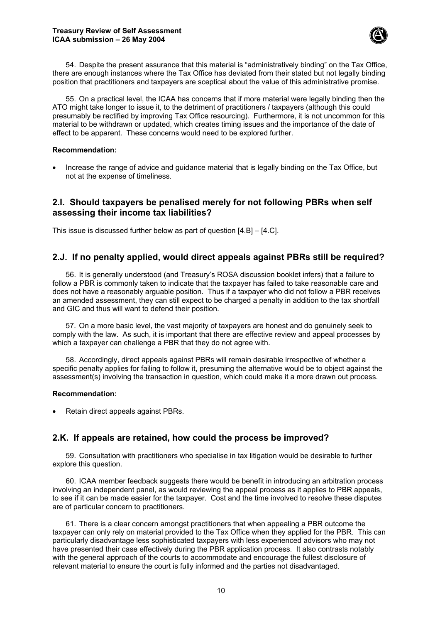

54. Despite the present assurance that this material is "administratively binding" on the Tax Office, there are enough instances where the Tax Office has deviated from their stated but not legally binding position that practitioners and taxpayers are sceptical about the value of this administrative promise.

55. On a practical level, the ICAA has concerns that if more material were legally binding then the ATO might take longer to issue it, to the detriment of practitioners / taxpayers (although this could presumably be rectified by improving Tax Office resourcing). Furthermore, it is not uncommon for this material to be withdrawn or updated, which creates timing issues and the importance of the date of effect to be apparent. These concerns would need to be explored further.

#### **Recommendation:**

• Increase the range of advice and guidance material that is legally binding on the Tax Office, but not at the expense of timeliness.

## **2.I. Should taxpayers be penalised merely for not following PBRs when self assessing their income tax liabilities?**

This issue is discussed further below as part of question [4.B] – [4.C].

## **2.J. If no penalty applied, would direct appeals against PBRs still be required?**

56. It is generally understood (and Treasury's ROSA discussion booklet infers) that a failure to follow a PBR is commonly taken to indicate that the taxpayer has failed to take reasonable care and does not have a reasonably arguable position. Thus if a taxpayer who did not follow a PBR receives an amended assessment, they can still expect to be charged a penalty in addition to the tax shortfall and GIC and thus will want to defend their position.

57. On a more basic level, the vast majority of taxpayers are honest and do genuinely seek to comply with the law. As such, it is important that there are effective review and appeal processes by which a taxpayer can challenge a PBR that they do not agree with.

58. Accordingly, direct appeals against PBRs will remain desirable irrespective of whether a specific penalty applies for failing to follow it, presuming the alternative would be to object against the assessment(s) involving the transaction in question, which could make it a more drawn out process.

#### **Recommendation:**

• Retain direct appeals against PBRs.

## **2.K. If appeals are retained, how could the process be improved?**

59. Consultation with practitioners who specialise in tax litigation would be desirable to further explore this question.

60. ICAA member feedback suggests there would be benefit in introducing an arbitration process involving an independent panel, as would reviewing the appeal process as it applies to PBR appeals, to see if it can be made easier for the taxpayer. Cost and the time involved to resolve these disputes are of particular concern to practitioners.

61. There is a clear concern amongst practitioners that when appealing a PBR outcome the taxpayer can only rely on material provided to the Tax Office when they applied for the PBR. This can particularly disadvantage less sophisticated taxpayers with less experienced advisors who may not have presented their case effectively during the PBR application process. It also contrasts notably with the general approach of the courts to accommodate and encourage the fullest disclosure of relevant material to ensure the court is fully informed and the parties not disadvantaged.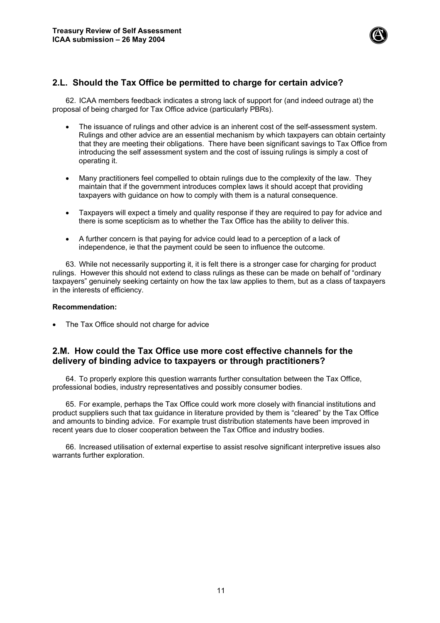

## **2.L. Should the Tax Office be permitted to charge for certain advice?**

62. ICAA members feedback indicates a strong lack of support for (and indeed outrage at) the proposal of being charged for Tax Office advice (particularly PBRs).

- The issuance of rulings and other advice is an inherent cost of the self-assessment system. Rulings and other advice are an essential mechanism by which taxpayers can obtain certainty that they are meeting their obligations. There have been significant savings to Tax Office from introducing the self assessment system and the cost of issuing rulings is simply a cost of operating it.
- Many practitioners feel compelled to obtain rulings due to the complexity of the law. They maintain that if the government introduces complex laws it should accept that providing taxpayers with guidance on how to comply with them is a natural consequence.
- Taxpayers will expect a timely and quality response if they are required to pay for advice and there is some scepticism as to whether the Tax Office has the ability to deliver this.
- A further concern is that paying for advice could lead to a perception of a lack of independence, ie that the payment could be seen to influence the outcome.

63. While not necessarily supporting it, it is felt there is a stronger case for charging for product rulings. However this should not extend to class rulings as these can be made on behalf of "ordinary taxpayers" genuinely seeking certainty on how the tax law applies to them, but as a class of taxpayers in the interests of efficiency.

#### **Recommendation:**

The Tax Office should not charge for advice

## **2.M. How could the Tax Office use more cost effective channels for the delivery of binding advice to taxpayers or through practitioners?**

64. To properly explore this question warrants further consultation between the Tax Office, professional bodies, industry representatives and possibly consumer bodies.

65. For example, perhaps the Tax Office could work more closely with financial institutions and product suppliers such that tax guidance in literature provided by them is "cleared" by the Tax Office and amounts to binding advice. For example trust distribution statements have been improved in recent years due to closer cooperation between the Tax Office and industry bodies.

66. Increased utilisation of external expertise to assist resolve significant interpretive issues also warrants further exploration.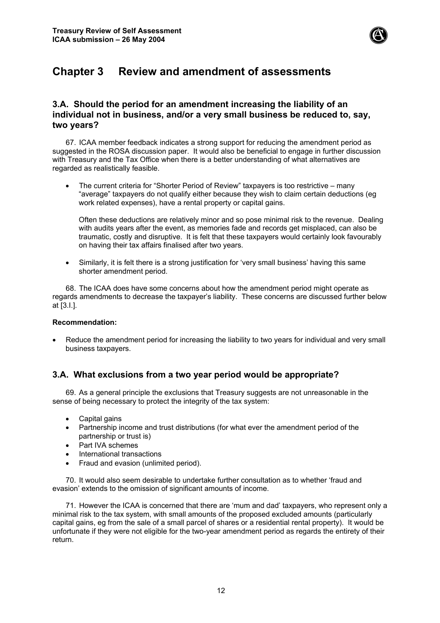

## **Chapter 3 Review and amendment of assessments**

## **3.A. Should the period for an amendment increasing the liability of an individual not in business, and/or a very small business be reduced to, say, two years?**

67. ICAA member feedback indicates a strong support for reducing the amendment period as suggested in the ROSA discussion paper. It would also be beneficial to engage in further discussion with Treasury and the Tax Office when there is a better understanding of what alternatives are regarded as realistically feasible.

• The current criteria for "Shorter Period of Review" taxpayers is too restrictive – many "average" taxpayers do not qualify either because they wish to claim certain deductions (eg work related expenses), have a rental property or capital gains.

Often these deductions are relatively minor and so pose minimal risk to the revenue. Dealing with audits years after the event, as memories fade and records get misplaced, can also be traumatic, costly and disruptive. It is felt that these taxpayers would certainly look favourably on having their tax affairs finalised after two years.

• Similarly, it is felt there is a strong justification for 'very small business' having this same shorter amendment period.

68. The ICAA does have some concerns about how the amendment period might operate as regards amendments to decrease the taxpayer's liability. These concerns are discussed further below at [3.I.].

### **Recommendation:**

• Reduce the amendment period for increasing the liability to two years for individual and very small business taxpayers.

## **3.A. What exclusions from a two year period would be appropriate?**

69. As a general principle the exclusions that Treasury suggests are not unreasonable in the sense of being necessary to protect the integrity of the tax system:

- Capital gains
- Partnership income and trust distributions (for what ever the amendment period of the partnership or trust is)
- Part IVA schemes
- International transactions
- Fraud and evasion (unlimited period).

70. It would also seem desirable to undertake further consultation as to whether 'fraud and evasion' extends to the omission of significant amounts of income.

71. However the ICAA is concerned that there are 'mum and dad' taxpayers, who represent only a minimal risk to the tax system, with small amounts of the proposed excluded amounts (particularly capital gains, eg from the sale of a small parcel of shares or a residential rental property). It would be unfortunate if they were not eligible for the two-year amendment period as regards the entirety of their return.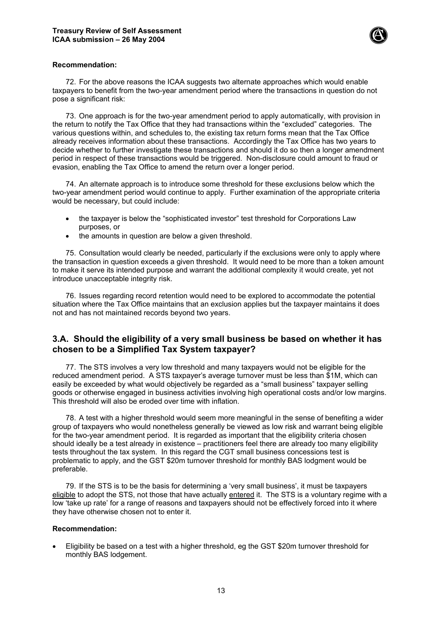

#### **Recommendation:**

72. For the above reasons the ICAA suggests two alternate approaches which would enable taxpayers to benefit from the two-year amendment period where the transactions in question do not pose a significant risk:

73. One approach is for the two-year amendment period to apply automatically, with provision in the return to notify the Tax Office that they had transactions within the "excluded" categories. The various questions within, and schedules to, the existing tax return forms mean that the Tax Office already receives information about these transactions. Accordingly the Tax Office has two years to decide whether to further investigate these transactions and should it do so then a longer amendment period in respect of these transactions would be triggered. Non-disclosure could amount to fraud or evasion, enabling the Tax Office to amend the return over a longer period.

74. An alternate approach is to introduce some threshold for these exclusions below which the two-year amendment period would continue to apply. Further examination of the appropriate criteria would be necessary, but could include:

- the taxpayer is below the "sophisticated investor" test threshold for Corporations Law purposes, or
- the amounts in question are below a given threshold.

75. Consultation would clearly be needed, particularly if the exclusions were only to apply where the transaction in question exceeds a given threshold. It would need to be more than a token amount to make it serve its intended purpose and warrant the additional complexity it would create, yet not introduce unacceptable integrity risk.

76. Issues regarding record retention would need to be explored to accommodate the potential situation where the Tax Office maintains that an exclusion applies but the taxpayer maintains it does not and has not maintained records beyond two years.

## **3.A. Should the eligibility of a very small business be based on whether it has chosen to be a Simplified Tax System taxpayer?**

77. The STS involves a very low threshold and many taxpayers would not be eligible for the reduced amendment period. A STS taxpayer's average turnover must be less than \$1M, which can easily be exceeded by what would objectively be regarded as a "small business" taxpayer selling goods or otherwise engaged in business activities involving high operational costs and/or low margins. This threshold will also be eroded over time with inflation.

78. A test with a higher threshold would seem more meaningful in the sense of benefiting a wider group of taxpayers who would nonetheless generally be viewed as low risk and warrant being eligible for the two-year amendment period. It is regarded as important that the eligibility criteria chosen should ideally be a test already in existence – practitioners feel there are already too many eligibility tests throughout the tax system. In this regard the CGT small business concessions test is problematic to apply, and the GST \$20m turnover threshold for monthly BAS lodgment would be preferable.

79. If the STS is to be the basis for determining a 'very small business', it must be taxpayers eligible to adopt the STS, not those that have actually entered it. The STS is a voluntary regime with a low 'take up rate' for a range of reasons and taxpayers should not be effectively forced into it where they have otherwise chosen not to enter it.

#### **Recommendation:**

• Eligibility be based on a test with a higher threshold, eg the GST \$20m turnover threshold for monthly BAS lodgement.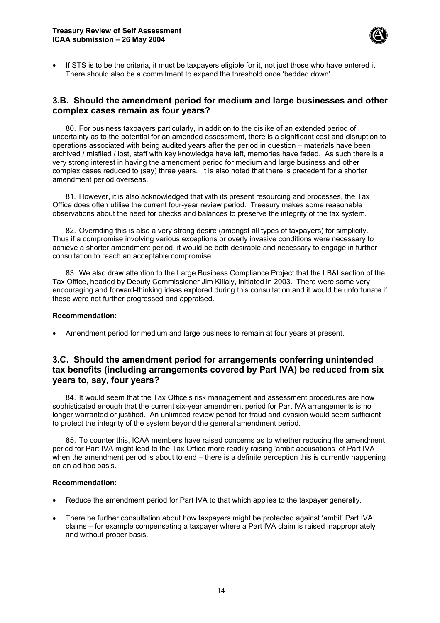

If STS is to be the criteria, it must be taxpayers eligible for it, not just those who have entered it. There should also be a commitment to expand the threshold once 'bedded down'.

## **3.B. Should the amendment period for medium and large businesses and other complex cases remain as four years?**

80. For business taxpayers particularly, in addition to the dislike of an extended period of uncertainty as to the potential for an amended assessment, there is a significant cost and disruption to operations associated with being audited years after the period in question – materials have been archived / misfiled / lost, staff with key knowledge have left, memories have faded. As such there is a very strong interest in having the amendment period for medium and large business and other complex cases reduced to (say) three years. It is also noted that there is precedent for a shorter amendment period overseas.

81. However, it is also acknowledged that with its present resourcing and processes, the Tax Office does often utilise the current four-year review period. Treasury makes some reasonable observations about the need for checks and balances to preserve the integrity of the tax system.

82. Overriding this is also a very strong desire (amongst all types of taxpayers) for simplicity. Thus if a compromise involving various exceptions or overly invasive conditions were necessary to achieve a shorter amendment period, it would be both desirable and necessary to engage in further consultation to reach an acceptable compromise.

83. We also draw attention to the Large Business Compliance Project that the LB&I section of the Tax Office, headed by Deputy Commissioner Jim Killaly, initiated in 2003. There were some very encouraging and forward-thinking ideas explored during this consultation and it would be unfortunate if these were not further progressed and appraised.

#### **Recommendation:**

• Amendment period for medium and large business to remain at four years at present.

## **3.C. Should the amendment period for arrangements conferring unintended tax benefits (including arrangements covered by Part IVA) be reduced from six years to, say, four years?**

84. It would seem that the Tax Office's risk management and assessment procedures are now sophisticated enough that the current six-year amendment period for Part IVA arrangements is no longer warranted or justified. An unlimited review period for fraud and evasion would seem sufficient to protect the integrity of the system beyond the general amendment period.

85. To counter this, ICAA members have raised concerns as to whether reducing the amendment period for Part IVA might lead to the Tax Office more readily raising 'ambit accusations' of Part IVA when the amendment period is about to end – there is a definite perception this is currently happening on an ad hoc basis.

#### **Recommendation:**

- Reduce the amendment period for Part IVA to that which applies to the taxpayer generally.
- There be further consultation about how taxpayers might be protected against 'ambit' Part IVA claims – for example compensating a taxpayer where a Part IVA claim is raised inappropriately and without proper basis.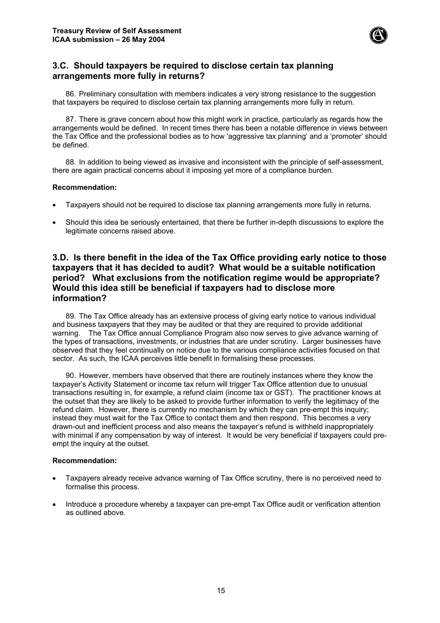

## **3.C. Should taxpayers be required to disclose certain tax planning arrangements more fully in returns?**

86. Preliminary consultation with members indicates a very strong resistance to the suggestion that taxpayers be required to disclose certain tax planning arrangements more fully in return.

87. There is grave concern about how this might work in practice, particularly as regards how the arrangements would be defined. In recent times there has been a notable difference in views between the Tax Office and the professional bodies as to how 'aggressive tax planning' and a 'promoter' should be defined.

88. In addition to being viewed as invasive and inconsistent with the principle of self-assessment, there are again practical concerns about it imposing yet more of a compliance burden.

#### **Recommendation:**

- Taxpayers should not be required to disclose tax planning arrangements more fully in returns.
- Should this idea be seriously entertained, that there be further in-depth discussions to explore the legitimate concerns raised above.

## **3.D. Is there benefit in the idea of the Tax Office providing early notice to those taxpayers that it has decided to audit? What would be a suitable notification period? What exclusions from the notification regime would be appropriate? Would this idea still be beneficial if taxpayers had to disclose more information?**

89. The Tax Office already has an extensive process of giving early notice to various individual and business taxpayers that they may be audited or that they are required to provide additional warning. The Tax Office annual Compliance Program also now serves to give advance warning of the types of transactions, investments, or industries that are under scrutiny. Larger businesses have observed that they feel continually on notice due to the various compliance activities focused on that sector. As such, the ICAA perceives little benefit in formalising these processes.

90. However, members have observed that there are routinely instances where they know the taxpayer's Activity Statement or income tax return will trigger Tax Office attention due to unusual transactions resulting in, for example, a refund claim (income tax or GST). The practitioner knows at the outset that they are likely to be asked to provide further information to verify the legitimacy of the refund claim. However, there is currently no mechanism by which they can pre-empt this inquiry; instead they must wait for the Tax Office to contact them and then respond. This becomes a very drawn-out and inefficient process and also means the taxpayer's refund is withheld inappropriately with minimal if any compensation by way of interest. It would be very beneficial if taxpayers could preempt the inquiry at the outset.

#### **Recommendation:**

- Taxpayers already receive advance warning of Tax Office scrutiny, there is no perceived need to formalise this process.
- Introduce a procedure whereby a taxpayer can pre-empt Tax Office audit or verification attention as outlined above.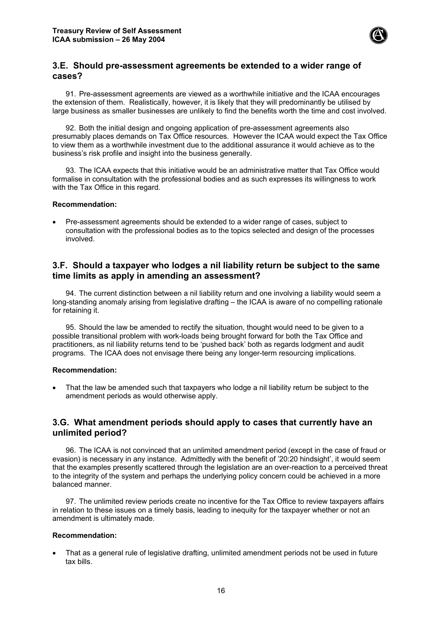

## **3.E. Should pre-assessment agreements be extended to a wider range of cases?**

91. Pre-assessment agreements are viewed as a worthwhile initiative and the ICAA encourages the extension of them. Realistically, however, it is likely that they will predominantly be utilised by large business as smaller businesses are unlikely to find the benefits worth the time and cost involved.

92. Both the initial design and ongoing application of pre-assessment agreements also presumably places demands on Tax Office resources. However the ICAA would expect the Tax Office to view them as a worthwhile investment due to the additional assurance it would achieve as to the business's risk profile and insight into the business generally.

93. The ICAA expects that this initiative would be an administrative matter that Tax Office would formalise in consultation with the professional bodies and as such expresses its willingness to work with the Tax Office in this regard.

#### **Recommendation:**

• Pre-assessment agreements should be extended to a wider range of cases, subject to consultation with the professional bodies as to the topics selected and design of the processes involved.

## **3.F. Should a taxpayer who lodges a nil liability return be subject to the same time limits as apply in amending an assessment?**

94. The current distinction between a nil liability return and one involving a liability would seem a long-standing anomaly arising from legislative drafting – the ICAA is aware of no compelling rationale for retaining it.

95. Should the law be amended to rectify the situation, thought would need to be given to a possible transitional problem with work-loads being brought forward for both the Tax Office and practitioners, as nil liability returns tend to be 'pushed back' both as regards lodgment and audit programs. The ICAA does not envisage there being any longer-term resourcing implications.

#### **Recommendation:**

• That the law be amended such that taxpayers who lodge a nil liability return be subject to the amendment periods as would otherwise apply.

## **3.G. What amendment periods should apply to cases that currently have an unlimited period?**

96. The ICAA is not convinced that an unlimited amendment period (except in the case of fraud or evasion) is necessary in any instance. Admittedly with the benefit of '20:20 hindsight', it would seem that the examples presently scattered through the legislation are an over-reaction to a perceived threat to the integrity of the system and perhaps the underlying policy concern could be achieved in a more balanced manner.

97. The unlimited review periods create no incentive for the Tax Office to review taxpayers affairs in relation to these issues on a timely basis, leading to inequity for the taxpayer whether or not an amendment is ultimately made.

#### **Recommendation:**

• That as a general rule of legislative drafting, unlimited amendment periods not be used in future tax bills.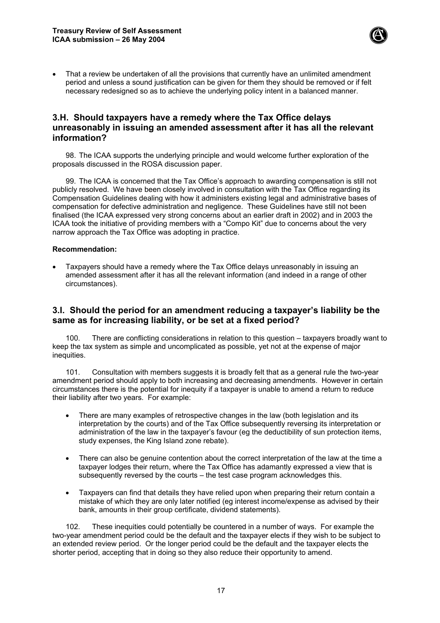

• That a review be undertaken of all the provisions that currently have an unlimited amendment period and unless a sound justification can be given for them they should be removed or if felt necessary redesigned so as to achieve the underlying policy intent in a balanced manner.

## **3.H. Should taxpayers have a remedy where the Tax Office delays unreasonably in issuing an amended assessment after it has all the relevant information?**

98. The ICAA supports the underlying principle and would welcome further exploration of the proposals discussed in the ROSA discussion paper.

99. The ICAA is concerned that the Tax Office's approach to awarding compensation is still not publicly resolved. We have been closely involved in consultation with the Tax Office regarding its Compensation Guidelines dealing with how it administers existing legal and administrative bases of compensation for defective administration and negligence. These Guidelines have still not been finalised (the ICAA expressed very strong concerns about an earlier draft in 2002) and in 2003 the ICAA took the initiative of providing members with a "Compo Kit" due to concerns about the very narrow approach the Tax Office was adopting in practice.

#### **Recommendation:**

• Taxpayers should have a remedy where the Tax Office delays unreasonably in issuing an amended assessment after it has all the relevant information (and indeed in a range of other circumstances).

## **3.I. Should the period for an amendment reducing a taxpayer's liability be the same as for increasing liability, or be set at a fixed period?**

100. There are conflicting considerations in relation to this question – taxpayers broadly want to keep the tax system as simple and uncomplicated as possible, yet not at the expense of major inequities.

101. Consultation with members suggests it is broadly felt that as a general rule the two-year amendment period should apply to both increasing and decreasing amendments. However in certain circumstances there is the potential for inequity if a taxpayer is unable to amend a return to reduce their liability after two years. For example:

- There are many examples of retrospective changes in the law (both legislation and its interpretation by the courts) and of the Tax Office subsequently reversing its interpretation or administration of the law in the taxpayer's favour (eg the deductibility of sun protection items, study expenses, the King Island zone rebate).
- There can also be genuine contention about the correct interpretation of the law at the time a taxpayer lodges their return, where the Tax Office has adamantly expressed a view that is subsequently reversed by the courts – the test case program acknowledges this.
- Taxpayers can find that details they have relied upon when preparing their return contain a mistake of which they are only later notified (eg interest income/expense as advised by their bank, amounts in their group certificate, dividend statements).

102. These inequities could potentially be countered in a number of ways. For example the two-year amendment period could be the default and the taxpayer elects if they wish to be subject to an extended review period. Or the longer period could be the default and the taxpayer elects the shorter period, accepting that in doing so they also reduce their opportunity to amend.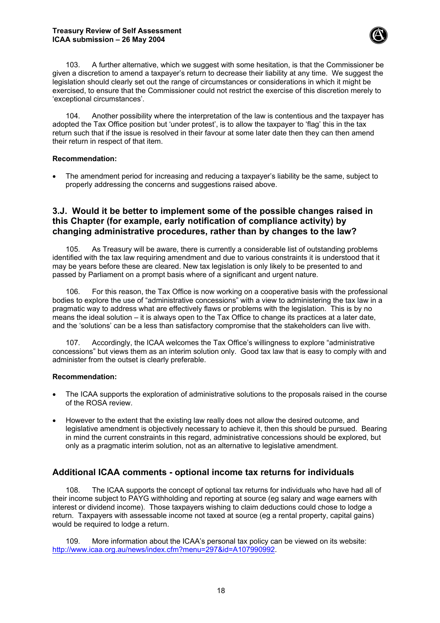#### **Treasury Review of Self Assessment ICAA submission – 26 May 2004**



103. A further alternative, which we suggest with some hesitation, is that the Commissioner be given a discretion to amend a taxpayer's return to decrease their liability at any time. We suggest the legislation should clearly set out the range of circumstances or considerations in which it might be exercised, to ensure that the Commissioner could not restrict the exercise of this discretion merely to 'exceptional circumstances'.

104. Another possibility where the interpretation of the law is contentious and the taxpayer has adopted the Tax Office position but 'under protest', is to allow the taxpayer to 'flag' this in the tax return such that if the issue is resolved in their favour at some later date then they can then amend their return in respect of that item.

#### **Recommendation:**

• The amendment period for increasing and reducing a taxpayer's liability be the same, subject to properly addressing the concerns and suggestions raised above.

## **3.J. Would it be better to implement some of the possible changes raised in this Chapter (for example, early notification of compliance activity) by changing administrative procedures, rather than by changes to the law?**

105. As Treasury will be aware, there is currently a considerable list of outstanding problems identified with the tax law requiring amendment and due to various constraints it is understood that it may be years before these are cleared. New tax legislation is only likely to be presented to and passed by Parliament on a prompt basis where of a significant and urgent nature.

106. For this reason, the Tax Office is now working on a cooperative basis with the professional bodies to explore the use of "administrative concessions" with a view to administering the tax law in a pragmatic way to address what are effectively flaws or problems with the legislation. This is by no means the ideal solution – it is always open to the Tax Office to change its practices at a later date, and the 'solutions' can be a less than satisfactory compromise that the stakeholders can live with.

107. Accordingly, the ICAA welcomes the Tax Office's willingness to explore "administrative concessions" but views them as an interim solution only. Good tax law that is easy to comply with and administer from the outset is clearly preferable.

#### **Recommendation:**

- The ICAA supports the exploration of administrative solutions to the proposals raised in the course of the ROSA review.
- However to the extent that the existing law really does not allow the desired outcome, and legislative amendment is objectively necessary to achieve it, then this should be pursued. Bearing in mind the current constraints in this regard, administrative concessions should be explored, but only as a pragmatic interim solution, not as an alternative to legislative amendment.

## **Additional ICAA comments - optional income tax returns for individuals**

108. The ICAA supports the concept of optional tax returns for individuals who have had all of their income subject to PAYG withholding and reporting at source (eg salary and wage earners with interest or dividend income). Those taxpayers wishing to claim deductions could chose to lodge a return. Taxpayers with assessable income not taxed at source (eg a rental property, capital gains) would be required to lodge a return.

109. More information about the ICAA's personal tax policy can be viewed on its website: [http://www.icaa.org.au/news/index.cfm?menu=297&id=A107990992.](http://www.icaa.org.au/news/index.cfm?menu=297&id=A107990992)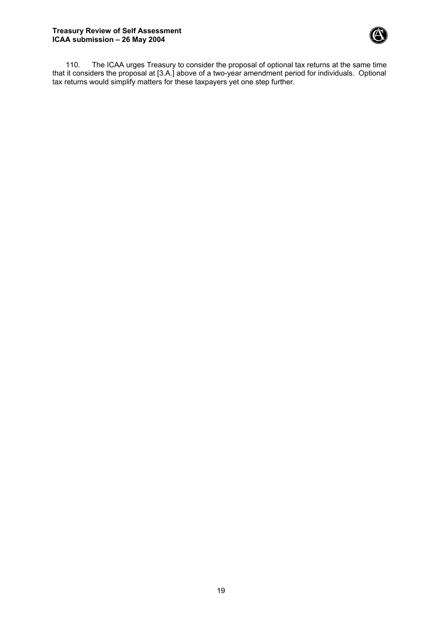

110. The ICAA urges Treasury to consider the proposal of optional tax returns at the same time that it considers the proposal at [3.A.] above of a two-year amendment period for individuals. Optional tax returns would simplify matters for these taxpayers yet one step further.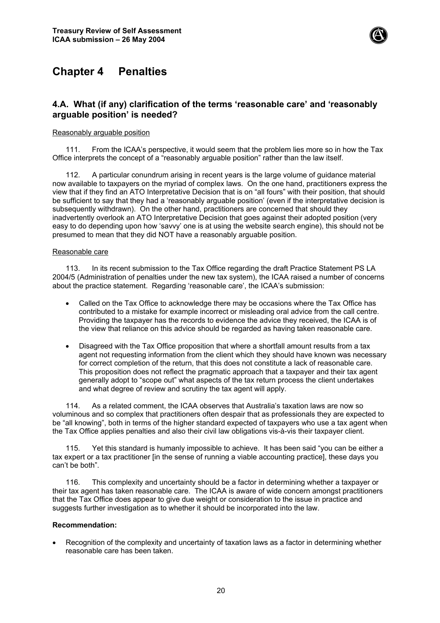

## **Chapter 4 Penalties**

## **4.A. What (if any) clarification of the terms 'reasonable care' and 'reasonably arguable position' is needed?**

#### Reasonably arguable position

111. From the ICAA's perspective, it would seem that the problem lies more so in how the Tax Office interprets the concept of a "reasonably arguable position" rather than the law itself.

112. A particular conundrum arising in recent years is the large volume of guidance material now available to taxpayers on the myriad of complex laws. On the one hand, practitioners express the view that if they find an ATO Interpretative Decision that is on "all fours" with their position, that should be sufficient to say that they had a 'reasonably arguable position' (even if the interpretative decision is subsequently withdrawn). On the other hand, practitioners are concerned that should they inadvertently overlook an ATO Interpretative Decision that goes against their adopted position (very easy to do depending upon how 'savvy' one is at using the website search engine), this should not be presumed to mean that they did NOT have a reasonably arguable position.

#### Reasonable care

113. In its recent submission to the Tax Office regarding the draft Practice Statement PS LA 2004/5 (Administration of penalties under the new tax system), the ICAA raised a number of concerns about the practice statement. Regarding 'reasonable care', the ICAA's submission:

- Called on the Tax Office to acknowledge there may be occasions where the Tax Office has contributed to a mistake for example incorrect or misleading oral advice from the call centre. Providing the taxpayer has the records to evidence the advice they received, the ICAA is of the view that reliance on this advice should be regarded as having taken reasonable care.
- Disagreed with the Tax Office proposition that where a shortfall amount results from a tax agent not requesting information from the client which they should have known was necessary for correct completion of the return, that this does not constitute a lack of reasonable care. This proposition does not reflect the pragmatic approach that a taxpayer and their tax agent generally adopt to "scope out" what aspects of the tax return process the client undertakes and what degree of review and scrutiny the tax agent will apply.

114. As a related comment, the ICAA observes that Australia's taxation laws are now so voluminous and so complex that practitioners often despair that as professionals they are expected to be "all knowing", both in terms of the higher standard expected of taxpayers who use a tax agent when the Tax Office applies penalties and also their civil law obligations vis-à-vis their taxpayer client.

Yet this standard is humanly impossible to achieve. It has been said "you can be either a tax expert or a tax practitioner [in the sense of running a viable accounting practice], these days you can't be both".

116. This complexity and uncertainty should be a factor in determining whether a taxpayer or their tax agent has taken reasonable care. The ICAA is aware of wide concern amongst practitioners that the Tax Office does appear to give due weight or consideration to the issue in practice and suggests further investigation as to whether it should be incorporated into the law.

#### **Recommendation:**

• Recognition of the complexity and uncertainty of taxation laws as a factor in determining whether reasonable care has been taken.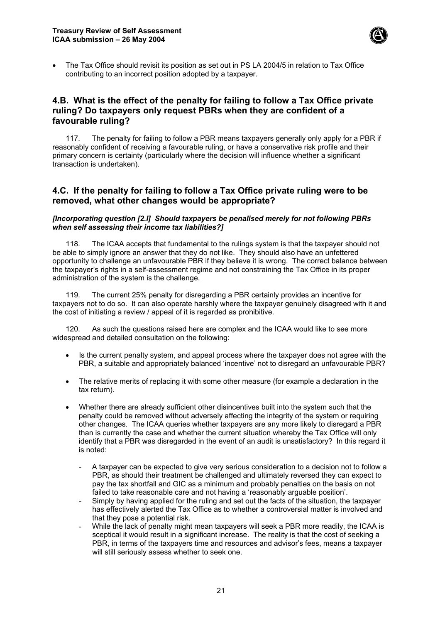

• The Tax Office should revisit its position as set out in PS LA 2004/5 in relation to Tax Office contributing to an incorrect position adopted by a taxpayer.

## **4.B. What is the effect of the penalty for failing to follow a Tax Office private ruling? Do taxpayers only request PBRs when they are confident of a favourable ruling?**

117. The penalty for failing to follow a PBR means taxpayers generally only apply for a PBR if reasonably confident of receiving a favourable ruling, or have a conservative risk profile and their primary concern is certainty (particularly where the decision will influence whether a significant transaction is undertaken).

## **4.C. If the penalty for failing to follow a Tax Office private ruling were to be removed, what other changes would be appropriate?**

*[Incorporating question [2.I] Should taxpayers be penalised merely for not following PBRs when self assessing their income tax liabilities?]*

118. The ICAA accepts that fundamental to the rulings system is that the taxpayer should not be able to simply ignore an answer that they do not like. They should also have an unfettered opportunity to challenge an unfavourable PBR if they believe it is wrong. The correct balance between the taxpayer's rights in a self-assessment regime and not constraining the Tax Office in its proper administration of the system is the challenge.

119. The current 25% penalty for disregarding a PBR certainly provides an incentive for taxpayers not to do so. It can also operate harshly where the taxpayer genuinely disagreed with it and the cost of initiating a review / appeal of it is regarded as prohibitive.

120. As such the questions raised here are complex and the ICAA would like to see more widespread and detailed consultation on the following:

- Is the current penalty system, and appeal process where the taxpayer does not agree with the PBR, a suitable and appropriately balanced 'incentive' not to disregard an unfavourable PBR?
- The relative merits of replacing it with some other measure (for example a declaration in the tax return).
- Whether there are already sufficient other disincentives built into the system such that the penalty could be removed without adversely affecting the integrity of the system or requiring other changes. The ICAA queries whether taxpayers are any more likely to disregard a PBR than is currently the case and whether the current situation whereby the Tax Office will only identify that a PBR was disregarded in the event of an audit is unsatisfactory? In this regard it is noted:
	- A taxpayer can be expected to give very serious consideration to a decision not to follow a PBR, as should their treatment be challenged and ultimately reversed they can expect to pay the tax shortfall and GIC as a minimum and probably penalties on the basis on not failed to take reasonable care and not having a 'reasonably arguable position'.
	- Simply by having applied for the ruling and set out the facts of the situation, the taxpayer has effectively alerted the Tax Office as to whether a controversial matter is involved and that they pose a potential risk.
	- While the lack of penalty might mean taxpayers will seek a PBR more readily, the ICAA is sceptical it would result in a significant increase. The reality is that the cost of seeking a PBR, in terms of the taxpayers time and resources and advisor's fees, means a taxpayer will still seriously assess whether to seek one.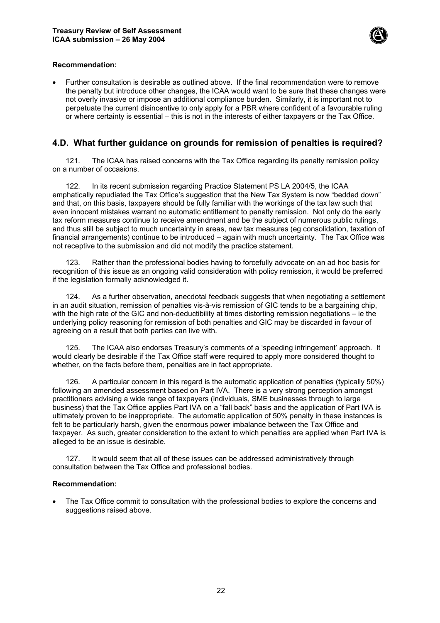

#### **Recommendation:**

• Further consultation is desirable as outlined above. If the final recommendation were to remove the penalty but introduce other changes, the ICAA would want to be sure that these changes were not overly invasive or impose an additional compliance burden. Similarly, it is important not to perpetuate the current disincentive to only apply for a PBR where confident of a favourable ruling or where certainty is essential – this is not in the interests of either taxpayers or the Tax Office.

## **4.D. What further guidance on grounds for remission of penalties is required?**

121. The ICAA has raised concerns with the Tax Office regarding its penalty remission policy on a number of occasions.

122. In its recent submission regarding Practice Statement PS LA 2004/5, the ICAA emphatically repudiated the Tax Office's suggestion that the New Tax System is now "bedded down" and that, on this basis, taxpayers should be fully familiar with the workings of the tax law such that even innocent mistakes warrant no automatic entitlement to penalty remission. Not only do the early tax reform measures continue to receive amendment and be the subject of numerous public rulings, and thus still be subject to much uncertainty in areas, new tax measures (eg consolidation, taxation of financial arrangements) continue to be introduced – again with much uncertainty. The Tax Office was not receptive to the submission and did not modify the practice statement.

123. Rather than the professional bodies having to forcefully advocate on an ad hoc basis for recognition of this issue as an ongoing valid consideration with policy remission, it would be preferred if the legislation formally acknowledged it.

124. As a further observation, anecdotal feedback suggests that when negotiating a settlement in an audit situation, remission of penalties vis-à-vis remission of GIC tends to be a bargaining chip, with the high rate of the GIC and non-deductibility at times distorting remission negotiations – ie the underlying policy reasoning for remission of both penalties and GIC may be discarded in favour of agreeing on a result that both parties can live with.

125. The ICAA also endorses Treasury's comments of a 'speeding infringement' approach. It would clearly be desirable if the Tax Office staff were required to apply more considered thought to whether, on the facts before them, penalties are in fact appropriate.

126. A particular concern in this regard is the automatic application of penalties (typically 50%) following an amended assessment based on Part IVA. There is a very strong perception amongst practitioners advising a wide range of taxpayers (individuals, SME businesses through to large business) that the Tax Office applies Part IVA on a "fall back" basis and the application of Part IVA is ultimately proven to be inappropriate. The automatic application of 50% penalty in these instances is felt to be particularly harsh, given the enormous power imbalance between the Tax Office and taxpayer. As such, greater consideration to the extent to which penalties are applied when Part IVA is alleged to be an issue is desirable.

127. It would seem that all of these issues can be addressed administratively through consultation between the Tax Office and professional bodies.

#### **Recommendation:**

• The Tax Office commit to consultation with the professional bodies to explore the concerns and suggestions raised above.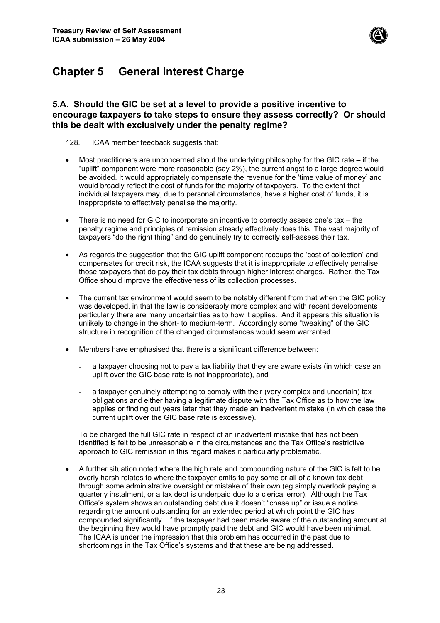

## **Chapter 5 General Interest Charge**

## **5.A. Should the GIC be set at a level to provide a positive incentive to encourage taxpayers to take steps to ensure they assess correctly? Or should this be dealt with exclusively under the penalty regime?**

#### 128. ICAA member feedback suggests that:

- Most practitioners are unconcerned about the underlying philosophy for the GIC rate if the "uplift" component were more reasonable (say 2%), the current angst to a large degree would be avoided. It would appropriately compensate the revenue for the 'time value of money' and would broadly reflect the cost of funds for the majority of taxpayers. To the extent that individual taxpayers may, due to personal circumstance, have a higher cost of funds, it is inappropriate to effectively penalise the majority.
- There is no need for GIC to incorporate an incentive to correctly assess one's tax the penalty regime and principles of remission already effectively does this. The vast majority of taxpayers "do the right thing" and do genuinely try to correctly self-assess their tax.
- As regards the suggestion that the GIC uplift component recoups the 'cost of collection' and compensates for credit risk, the ICAA suggests that it is inappropriate to effectively penalise those taxpayers that do pay their tax debts through higher interest charges. Rather, the Tax Office should improve the effectiveness of its collection processes.
- The current tax environment would seem to be notably different from that when the GIC policy was developed, in that the law is considerably more complex and with recent developments particularly there are many uncertainties as to how it applies. And it appears this situation is unlikely to change in the short- to medium-term. Accordingly some "tweaking" of the GIC structure in recognition of the changed circumstances would seem warranted.
- Members have emphasised that there is a significant difference between:
	- a taxpayer choosing not to pay a tax liability that they are aware exists (in which case an uplift over the GIC base rate is not inappropriate), and
	- a taxpayer genuinely attempting to comply with their (very complex and uncertain) tax obligations and either having a legitimate dispute with the Tax Office as to how the law applies or finding out years later that they made an inadvertent mistake (in which case the current uplift over the GIC base rate is excessive).

To be charged the full GIC rate in respect of an inadvertent mistake that has not been identified is felt to be unreasonable in the circumstances and the Tax Office's restrictive approach to GIC remission in this regard makes it particularly problematic.

• A further situation noted where the high rate and compounding nature of the GIC is felt to be overly harsh relates to where the taxpayer omits to pay some or all of a known tax debt through some administrative oversight or mistake of their own (eg simply overlook paying a quarterly instalment, or a tax debt is underpaid due to a clerical error). Although the Tax Office's system shows an outstanding debt due it doesn't "chase up" or issue a notice regarding the amount outstanding for an extended period at which point the GIC has compounded significantly. If the taxpayer had been made aware of the outstanding amount at the beginning they would have promptly paid the debt and GIC would have been minimal. The ICAA is under the impression that this problem has occurred in the past due to shortcomings in the Tax Office's systems and that these are being addressed.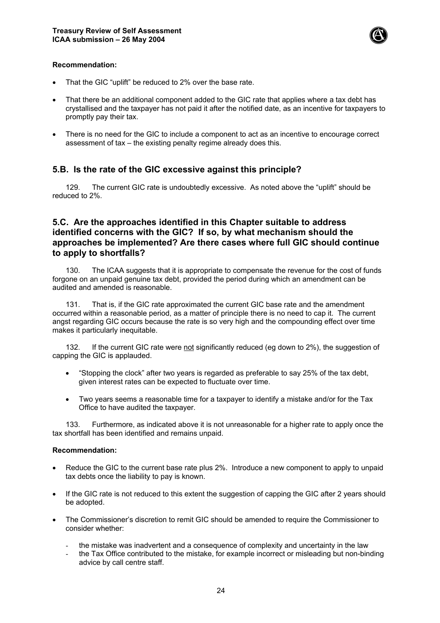

#### **Recommendation:**

- That the GIC "uplift" be reduced to 2% over the base rate.
- That there be an additional component added to the GIC rate that applies where a tax debt has crystallised and the taxpayer has not paid it after the notified date, as an incentive for taxpayers to promptly pay their tax.
- There is no need for the GIC to include a component to act as an incentive to encourage correct assessment of tax – the existing penalty regime already does this.

## **5.B. Is the rate of the GIC excessive against this principle?**

129. The current GIC rate is undoubtedly excessive. As noted above the "uplift" should be reduced to 2%.

## **5.C. Are the approaches identified in this Chapter suitable to address identified concerns with the GIC? If so, by what mechanism should the approaches be implemented? Are there cases where full GIC should continue to apply to shortfalls?**

130. The ICAA suggests that it is appropriate to compensate the revenue for the cost of funds forgone on an unpaid genuine tax debt, provided the period during which an amendment can be audited and amended is reasonable.

131. That is, if the GIC rate approximated the current GIC base rate and the amendment occurred within a reasonable period, as a matter of principle there is no need to cap it. The current angst regarding GIC occurs because the rate is so very high and the compounding effect over time makes it particularly inequitable.

132. If the current GIC rate were not significantly reduced (eg down to 2%), the suggestion of capping the GIC is applauded.

- "Stopping the clock" after two years is regarded as preferable to say 25% of the tax debt, given interest rates can be expected to fluctuate over time.
- Two years seems a reasonable time for a taxpayer to identify a mistake and/or for the Tax Office to have audited the taxpayer.

133. Furthermore, as indicated above it is not unreasonable for a higher rate to apply once the tax shortfall has been identified and remains unpaid.

#### **Recommendation:**

- Reduce the GIC to the current base rate plus 2%. Introduce a new component to apply to unpaid tax debts once the liability to pay is known.
- If the GIC rate is not reduced to this extent the suggestion of capping the GIC after 2 years should be adopted.
- The Commissioner's discretion to remit GIC should be amended to require the Commissioner to consider whether:
	- the mistake was inadvertent and a consequence of complexity and uncertainty in the law
	- the Tax Office contributed to the mistake, for example incorrect or misleading but non-binding advice by call centre staff.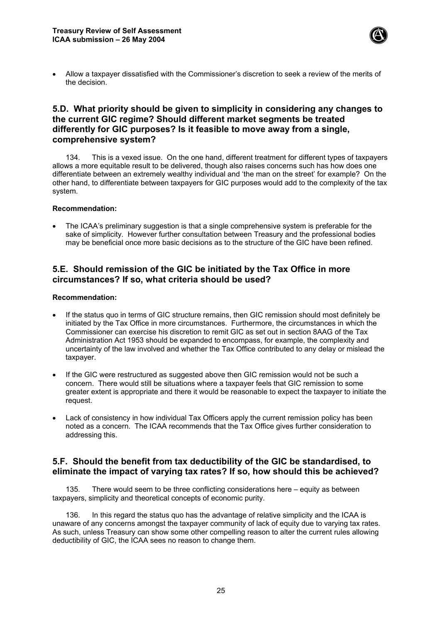

• Allow a taxpayer dissatisfied with the Commissioner's discretion to seek a review of the merits of the decision.

## **5.D. What priority should be given to simplicity in considering any changes to the current GIC regime? Should different market segments be treated differently for GIC purposes? Is it feasible to move away from a single, comprehensive system?**

134. This is a vexed issue. On the one hand, different treatment for different types of taxpayers allows a more equitable result to be delivered, though also raises concerns such has how does one differentiate between an extremely wealthy individual and 'the man on the street' for example? On the other hand, to differentiate between taxpayers for GIC purposes would add to the complexity of the tax system.

#### **Recommendation:**

• The ICAA's preliminary suggestion is that a single comprehensive system is preferable for the sake of simplicity. However further consultation between Treasury and the professional bodies may be beneficial once more basic decisions as to the structure of the GIC have been refined.

## **5.E. Should remission of the GIC be initiated by the Tax Office in more circumstances? If so, what criteria should be used?**

#### **Recommendation:**

- If the status quo in terms of GIC structure remains, then GIC remission should most definitely be initiated by the Tax Office in more circumstances. Furthermore, the circumstances in which the Commissioner can exercise his discretion to remit GIC as set out in section 8AAG of the Tax Administration Act 1953 should be expanded to encompass, for example, the complexity and uncertainty of the law involved and whether the Tax Office contributed to any delay or mislead the taxpayer.
- If the GIC were restructured as suggested above then GIC remission would not be such a concern. There would still be situations where a taxpayer feels that GIC remission to some greater extent is appropriate and there it would be reasonable to expect the taxpayer to initiate the request.
- Lack of consistency in how individual Tax Officers apply the current remission policy has been noted as a concern. The ICAA recommends that the Tax Office gives further consideration to addressing this.

## **5.F. Should the benefit from tax deductibility of the GIC be standardised, to eliminate the impact of varying tax rates? If so, how should this be achieved?**

135. There would seem to be three conflicting considerations here – equity as between taxpayers, simplicity and theoretical concepts of economic purity.

136. In this regard the status quo has the advantage of relative simplicity and the ICAA is unaware of any concerns amongst the taxpayer community of lack of equity due to varying tax rates. As such, unless Treasury can show some other compelling reason to alter the current rules allowing deductibility of GIC, the ICAA sees no reason to change them.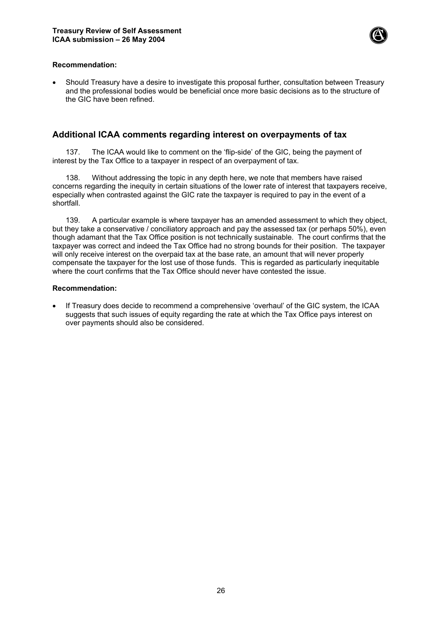

#### **Recommendation:**

• Should Treasury have a desire to investigate this proposal further, consultation between Treasury and the professional bodies would be beneficial once more basic decisions as to the structure of the GIC have been refined.

## **Additional ICAA comments regarding interest on overpayments of tax**

137. The ICAA would like to comment on the 'flip-side' of the GIC, being the payment of interest by the Tax Office to a taxpayer in respect of an overpayment of tax.

138. Without addressing the topic in any depth here, we note that members have raised concerns regarding the inequity in certain situations of the lower rate of interest that taxpayers receive, especially when contrasted against the GIC rate the taxpayer is required to pay in the event of a shortfall.

139. A particular example is where taxpayer has an amended assessment to which they object, but they take a conservative / conciliatory approach and pay the assessed tax (or perhaps 50%), even though adamant that the Tax Office position is not technically sustainable. The court confirms that the taxpayer was correct and indeed the Tax Office had no strong bounds for their position. The taxpayer will only receive interest on the overpaid tax at the base rate, an amount that will never properly compensate the taxpayer for the lost use of those funds. This is regarded as particularly inequitable where the court confirms that the Tax Office should never have contested the issue.

#### **Recommendation:**

• If Treasury does decide to recommend a comprehensive 'overhaul' of the GIC system, the ICAA suggests that such issues of equity regarding the rate at which the Tax Office pays interest on over payments should also be considered.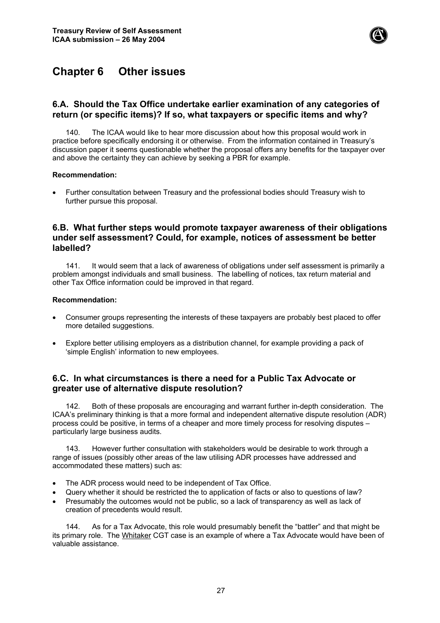

## **Chapter 6 Other issues**

## **6.A. Should the Tax Office undertake earlier examination of any categories of return (or specific items)? If so, what taxpayers or specific items and why?**

140. The ICAA would like to hear more discussion about how this proposal would work in practice before specifically endorsing it or otherwise. From the information contained in Treasury's discussion paper it seems questionable whether the proposal offers any benefits for the taxpayer over and above the certainty they can achieve by seeking a PBR for example.

#### **Recommendation:**

• Further consultation between Treasury and the professional bodies should Treasury wish to further pursue this proposal.

## **6.B. What further steps would promote taxpayer awareness of their obligations under self assessment? Could, for example, notices of assessment be better labelled?**

141. It would seem that a lack of awareness of obligations under self assessment is primarily a problem amongst individuals and small business. The labelling of notices, tax return material and other Tax Office information could be improved in that regard.

#### **Recommendation:**

- Consumer groups representing the interests of these taxpayers are probably best placed to offer more detailed suggestions.
- Explore better utilising employers as a distribution channel, for example providing a pack of 'simple English' information to new employees.

## **6.C. In what circumstances is there a need for a Public Tax Advocate or greater use of alternative dispute resolution?**

142. Both of these proposals are encouraging and warrant further in-depth consideration. The ICAA's preliminary thinking is that a more formal and independent alternative dispute resolution (ADR) process could be positive, in terms of a cheaper and more timely process for resolving disputes – particularly large business audits.

143. However further consultation with stakeholders would be desirable to work through a range of issues (possibly other areas of the law utilising ADR processes have addressed and accommodated these matters) such as:

- The ADR process would need to be independent of Tax Office.
- Query whether it should be restricted the to application of facts or also to questions of law?
- Presumably the outcomes would not be public, so a lack of transparency as well as lack of creation of precedents would result.

144. As for a Tax Advocate, this role would presumably benefit the "battler" and that might be its primary role. The Whitaker CGT case is an example of where a Tax Advocate would have been of valuable assistance.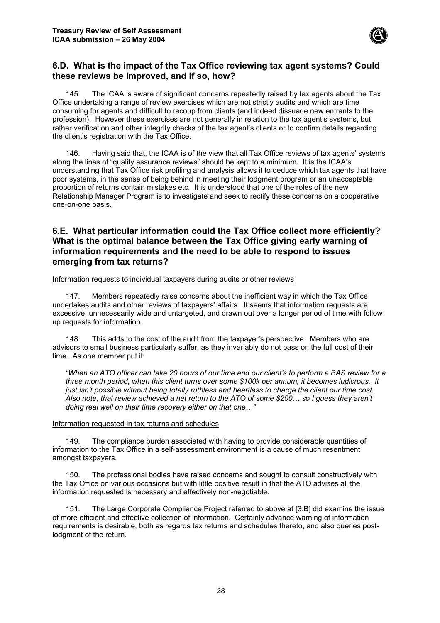

## **6.D. What is the impact of the Tax Office reviewing tax agent systems? Could these reviews be improved, and if so, how?**

145. The ICAA is aware of significant concerns repeatedly raised by tax agents about the Tax Office undertaking a range of review exercises which are not strictly audits and which are time consuming for agents and difficult to recoup from clients (and indeed dissuade new entrants to the profession). However these exercises are not generally in relation to the tax agent's systems, but rather verification and other integrity checks of the tax agent's clients or to confirm details regarding the client's registration with the Tax Office.

146. Having said that, the ICAA is of the view that all Tax Office reviews of tax agents' systems along the lines of "quality assurance reviews" should be kept to a minimum. It is the ICAA's understanding that Tax Office risk profiling and analysis allows it to deduce which tax agents that have poor systems, in the sense of being behind in meeting their lodgment program or an unacceptable proportion of returns contain mistakes etc. It is understood that one of the roles of the new Relationship Manager Program is to investigate and seek to rectify these concerns on a cooperative one-on-one basis.

## **6.E. What particular information could the Tax Office collect more efficiently? What is the optimal balance between the Tax Office giving early warning of information requirements and the need to be able to respond to issues emerging from tax returns?**

Information requests to individual taxpayers during audits or other reviews

147. Members repeatedly raise concerns about the inefficient way in which the Tax Office undertakes audits and other reviews of taxpayers' affairs. It seems that information requests are excessive, unnecessarily wide and untargeted, and drawn out over a longer period of time with follow up requests for information.

148. This adds to the cost of the audit from the taxpayer's perspective. Members who are advisors to small business particularly suffer, as they invariably do not pass on the full cost of their time. As one member put it:

*"When an ATO officer can take 20 hours of our time and our client's to perform a BAS review for a three month period, when this client turns over some \$100k per annum, it becomes ludicrous. It just isn't possible without being totally ruthless and heartless to charge the client our time cost. Also note, that review achieved a net return to the ATO of some \$200… so I guess they aren't doing real well on their time recovery either on that one…"*

#### Information requested in tax returns and schedules

149. The compliance burden associated with having to provide considerable quantities of information to the Tax Office in a self-assessment environment is a cause of much resentment amongst taxpayers.

150. The professional bodies have raised concerns and sought to consult constructively with the Tax Office on various occasions but with little positive result in that the ATO advises all the information requested is necessary and effectively non-negotiable.

151. The Large Corporate Compliance Project referred to above at [3.B] did examine the issue of more efficient and effective collection of information. Certainly advance warning of information requirements is desirable, both as regards tax returns and schedules thereto, and also queries postlodgment of the return.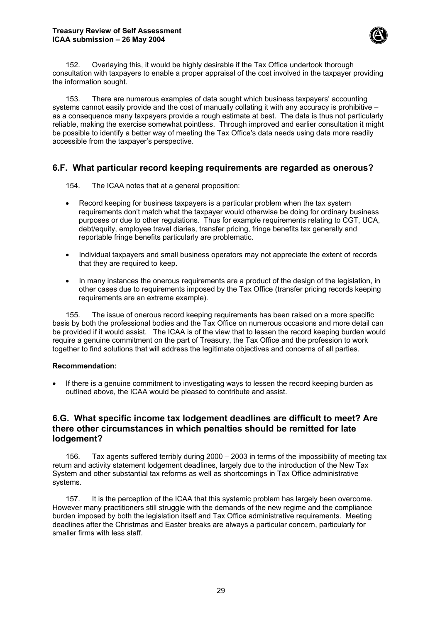

152. Overlaying this, it would be highly desirable if the Tax Office undertook thorough consultation with taxpayers to enable a proper appraisal of the cost involved in the taxpayer providing the information sought.

153. There are numerous examples of data sought which business taxpayers' accounting systems cannot easily provide and the cost of manually collating it with any accuracy is prohibitive – as a consequence many taxpayers provide a rough estimate at best. The data is thus not particularly reliable, making the exercise somewhat pointless. Through improved and earlier consultation it might be possible to identify a better way of meeting the Tax Office's data needs using data more readily accessible from the taxpayer's perspective.

## **6.F. What particular record keeping requirements are regarded as onerous?**

154. The ICAA notes that at a general proposition:

- Record keeping for business taxpayers is a particular problem when the tax system requirements don't match what the taxpayer would otherwise be doing for ordinary business purposes or due to other regulations. Thus for example requirements relating to CGT, UCA, debt/equity, employee travel diaries, transfer pricing, fringe benefits tax generally and reportable fringe benefits particularly are problematic.
- Individual taxpayers and small business operators may not appreciate the extent of records that they are required to keep.
- In many instances the onerous requirements are a product of the design of the legislation, in other cases due to requirements imposed by the Tax Office (transfer pricing records keeping requirements are an extreme example).

155. The issue of onerous record keeping requirements has been raised on a more specific basis by both the professional bodies and the Tax Office on numerous occasions and more detail can be provided if it would assist. The ICAA is of the view that to lessen the record keeping burden would require a genuine commitment on the part of Treasury, the Tax Office and the profession to work together to find solutions that will address the legitimate objectives and concerns of all parties.

#### **Recommendation:**

If there is a genuine commitment to investigating ways to lessen the record keeping burden as outlined above, the ICAA would be pleased to contribute and assist.

## **6.G. What specific income tax lodgement deadlines are difficult to meet? Are there other circumstances in which penalties should be remitted for late lodgement?**

156. Tax agents suffered terribly during 2000 – 2003 in terms of the impossibility of meeting tax return and activity statement lodgement deadlines, largely due to the introduction of the New Tax System and other substantial tax reforms as well as shortcomings in Tax Office administrative systems.

157. It is the perception of the ICAA that this systemic problem has largely been overcome. However many practitioners still struggle with the demands of the new regime and the compliance burden imposed by both the legislation itself and Tax Office administrative requirements. Meeting deadlines after the Christmas and Easter breaks are always a particular concern, particularly for smaller firms with less staff.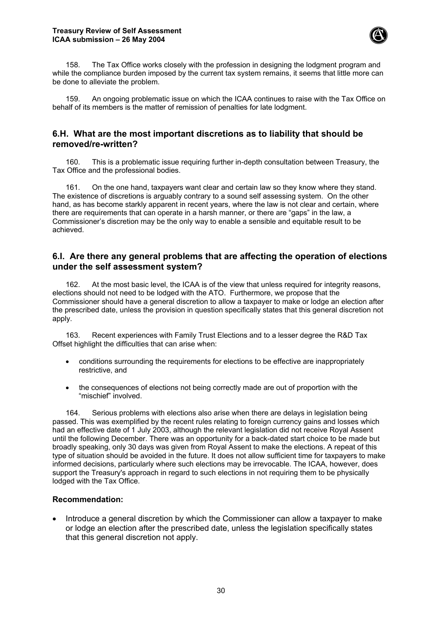

158. The Tax Office works closely with the profession in designing the lodgment program and while the compliance burden imposed by the current tax system remains, it seems that little more can be done to alleviate the problem.

159. An ongoing problematic issue on which the ICAA continues to raise with the Tax Office on behalf of its members is the matter of remission of penalties for late lodgment.

## **6.H. What are the most important discretions as to liability that should be removed/re-written?**

160. This is a problematic issue requiring further in-depth consultation between Treasury, the Tax Office and the professional bodies.

161. On the one hand, taxpayers want clear and certain law so they know where they stand. The existence of discretions is arguably contrary to a sound self assessing system. On the other hand, as has become starkly apparent in recent years, where the law is not clear and certain, where there are requirements that can operate in a harsh manner, or there are "gaps" in the law, a Commissioner's discretion may be the only way to enable a sensible and equitable result to be achieved.

## **6.I. Are there any general problems that are affecting the operation of elections under the self assessment system?**

162. At the most basic level, the ICAA is of the view that unless required for integrity reasons, elections should not need to be lodged with the ATO. Furthermore, we propose that the Commissioner should have a general discretion to allow a taxpayer to make or lodge an election after the prescribed date, unless the provision in question specifically states that this general discretion not apply.

163. Recent experiences with Family Trust Elections and to a lesser degree the R&D Tax Offset highlight the difficulties that can arise when:

- conditions surrounding the requirements for elections to be effective are inappropriately restrictive, and
- the consequences of elections not being correctly made are out of proportion with the "mischief" involved.

164. Serious problems with elections also arise when there are delays in legislation being passed. This was exemplified by the recent rules relating to foreign currency gains and losses which had an effective date of 1 July 2003, although the relevant legislation did not receive Royal Assent until the following December. There was an opportunity for a back-dated start choice to be made but broadly speaking, only 30 days was given from Royal Assent to make the elections. A repeat of this type of situation should be avoided in the future. It does not allow sufficient time for taxpayers to make informed decisions, particularly where such elections may be irrevocable. The ICAA, however, does support the Treasury's approach in regard to such elections in not requiring them to be physically lodged with the Tax Office.

## **Recommendation:**

• Introduce a general discretion by which the Commissioner can allow a taxpayer to make or lodge an election after the prescribed date, unless the legislation specifically states that this general discretion not apply.